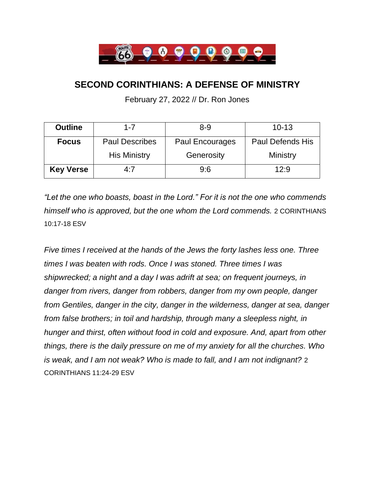

## **SECOND CORINTHIANS: A DEFENSE OF MINISTRY**

February 27, 2022 // Dr. Ron Jones

| <b>Outline</b>   | $1 - 7$               | $8 - 9$                | $10 - 13$               |
|------------------|-----------------------|------------------------|-------------------------|
| <b>Focus</b>     | <b>Paul Describes</b> | <b>Paul Encourages</b> | <b>Paul Defends His</b> |
|                  | <b>His Ministry</b>   | Generosity             | Ministry                |
| <b>Key Verse</b> | 4:7                   | 9:6                    | 12:9                    |

*"Let the one who boasts, boast in the Lord." For it is not the one who commends himself who is approved, but the one whom the Lord commends.* 2 CORINTHIANS 10:17-18 ESV

*Five times I received at the hands of the Jews the forty lashes less one. Three times I was beaten with rods. Once I was stoned. Three times I was shipwrecked; a night and a day I was adrift at sea; on frequent journeys, in danger from rivers, danger from robbers, danger from my own people, danger from Gentiles, danger in the city, danger in the wilderness, danger at sea, danger from false brothers; in toil and hardship, through many a sleepless night, in hunger and thirst, often without food in cold and exposure. And, apart from other things, there is the daily pressure on me of my anxiety for all the churches. Who is weak, and I am not weak? Who is made to fall, and I am not indignant?* 2 CORINTHIANS 11:24-29 ESV